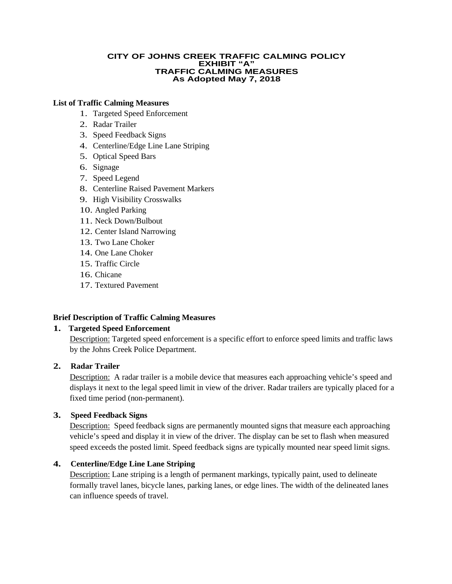#### **CITY OF JOHNS CREEK TRAFFIC CALMING POLICY EXHIBIT "A" TRAFFIC CALMING MEASURES As Adopted May 7, 2018**

#### **List of Traffic Calming Measures**

- 1. Targeted Speed Enforcement
- 2. Radar Trailer
- 3. Speed Feedback Signs
- 4. Centerline/Edge Line Lane Striping
- 5. Optical Speed Bars
- 6. Signage
- 7. Speed Legend
- 8. Centerline Raised Pavement Markers
- 9. High Visibility Crosswalks
- 10. Angled Parking
- 11. Neck Down/Bulbout
- 12. Center Island Narrowing
- 13. Two Lane Choker
- 14. One Lane Choker
- 15. Traffic Circle
- 16. Chicane
- 17. Textured Pavement

#### **Brief Description of Traffic Calming Measures**

#### **1. Targeted Speed Enforcement**

Description: Targeted speed enforcement is a specific effort to enforce speed limits and traffic laws by the Johns Creek Police Department.

# **2. Radar Trailer**

Description: A radar trailer is a mobile device that measures each approaching vehicle's speed and displays it next to the legal speed limit in view of the driver. Radar trailers are typically placed for a fixed time period (non-permanent).

## **3. Speed Feedback Signs**

Description: Speed feedback signs are permanently mounted signs that measure each approaching vehicle's speed and display it in view of the driver. The display can be set to flash when measured speed exceeds the posted limit. Speed feedback signs are typically mounted near speed limit signs.

# **4. Centerline/Edge Line Lane Striping**

Description: Lane striping is a length of permanent markings, typically paint, used to delineate formally travel lanes, bicycle lanes, parking lanes, or edge lines. The width of the delineated lanes can influence speeds of travel.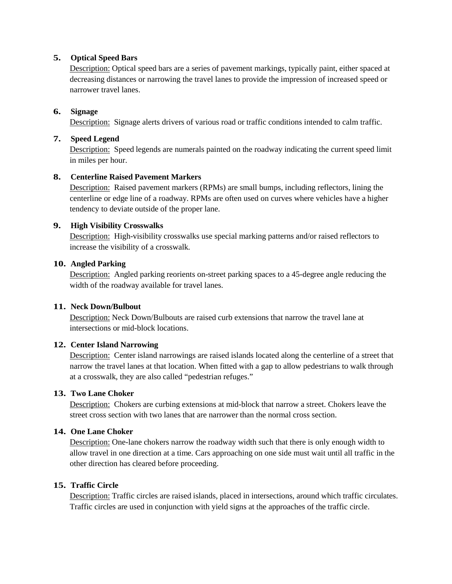## **5. Optical Speed Bars**

Description: Optical speed bars are a series of pavement markings, typically paint, either spaced at decreasing distances or narrowing the travel lanes to provide the impression of increased speed or narrower travel lanes.

# **6. Signage**

Description: Signage alerts drivers of various road or traffic conditions intended to calm traffic.

### **7. Speed Legend**

Description: Speed legends are numerals painted on the roadway indicating the current speed limit in miles per hour.

## **8. Centerline Raised Pavement Markers**

Description: Raised pavement markers (RPMs) are small bumps, including reflectors, lining the centerline or edge line of a roadway. RPMs are often used on curves where vehicles have a higher tendency to deviate outside of the proper lane.

## **9. High Visibility Crosswalks**

Description: High-visibility crosswalks use special marking patterns and/or raised reflectors to increase the visibility of a crosswalk.

## **10. Angled Parking**

Description: Angled parking reorients on-street parking spaces to a 45-degree angle reducing the width of the roadway available for travel lanes.

#### **11. Neck Down/Bulbout**

Description: Neck Down/Bulbouts are raised curb extensions that narrow the travel lane at intersections or mid-block locations.

# **12. Center Island Narrowing**

Description: Center island narrowings are raised islands located along the centerline of a street that narrow the travel lanes at that location. When fitted with a gap to allow pedestrians to walk through at a crosswalk, they are also called "pedestrian refuges."

#### **13. Two Lane Choker**

Description: Chokers are curbing extensions at mid-block that narrow a street. Chokers leave the street cross section with two lanes that are narrower than the normal cross section.

# **14. One Lane Choker**

Description: One-lane chokers narrow the roadway width such that there is only enough width to allow travel in one direction at a time. Cars approaching on one side must wait until all traffic in the other direction has cleared before proceeding.

#### **15. Traffic Circle**

Description: Traffic circles are raised islands, placed in intersections, around which traffic circulates. Traffic circles are used in conjunction with yield signs at the approaches of the traffic circle.